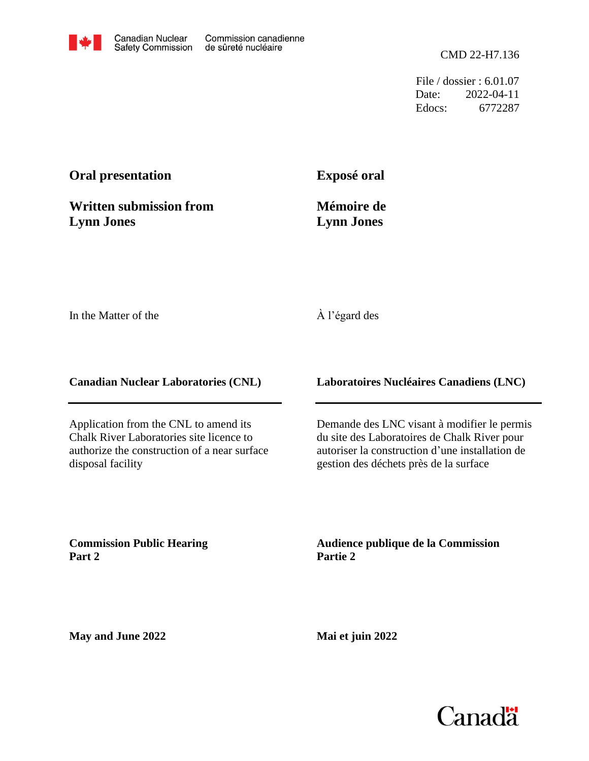File / dossier : 6.01.07 Date: 2022-04-11 Edocs: 6772287

## **Oral presentation**

**Written submission from Lynn Jones**

**Exposé oral**

**Mémoire de Lynn Jones**

In the Matter of the

## À l'égard des

**Canadian Nuclear Laboratories (CNL)**

Application from the CNL to amend its Chalk River Laboratories site licence to authorize the construction of a near surface disposal facility

**Laboratoires Nucléaires Canadiens (LNC)**

Demande des LNC visant à modifier le permis du site des Laboratoires de Chalk River pour autoriser la construction d'une installation de gestion des déchets près de la surface

**Commission Public Hearing Part 2**

**Audience publique de la Commission Partie 2**

**May and June 2022**

**Mai et juin 2022**

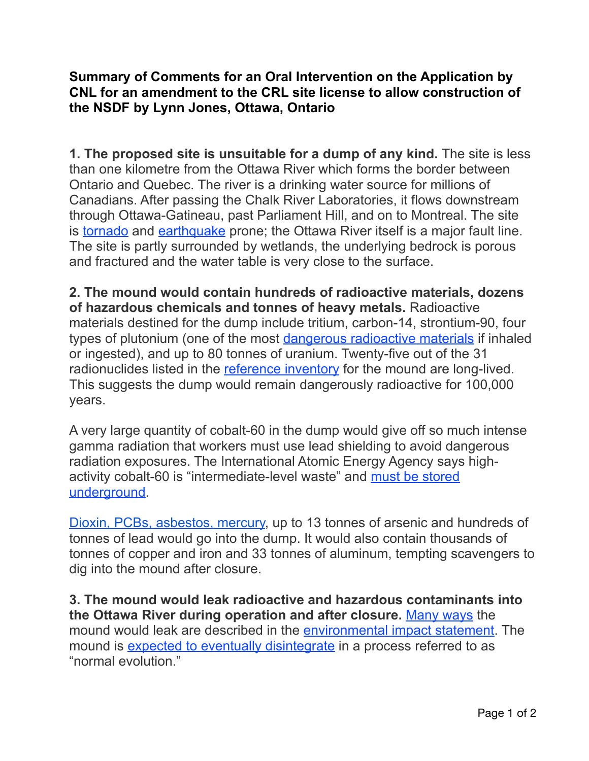## **Summary of Comments for an Oral Intervention on the Application by CNL for an amendment to the CRL site license to allow construction of the NSDF by Lynn Jones, Ottawa, Ontario**

**1. The proposed site is unsuitable for a dump of any kind.** The site is less than one kilometre from the Ottawa River which forms the border between Ontario and Quebec. The river is a drinking water source for millions of Canadians. After passing the Chalk River Laboratories, it flows downstream through Ottawa-Gatineau, past Parliament Hill, and on to Montreal. The site is [tornado](https://www.cbc.ca/news/canada/ottawa/eastern-ontario-tornado-ottawa-gatineau-1.5674117) and [earthquake](https://en.wikipedia.org/wiki/Western_Quebec_Seismic_Zone) prone; the Ottawa River itself is a major fault line. The site is partly surrounded by wetlands, the underlying bedrock is porous and fractured and the water table is very close to the surface.

**2. The mound would contain hundreds of radioactive materials, dozens of hazardous chemicals and tonnes of heavy metals.** Radioactive materials destined for the dump include tritium, carbon-14, strontium-90, four types of plutonium (one of the most [dangerous radioactive materials](https://blogs.scientificamerican.com/observations/fukushima-absorbed-how-plutonium-poisons-the-body/) if inhaled or ingested), and up to 80 tonnes of uranium. Twenty-five out of the 31 radionuclides listed in the [reference inventory](http://concernedcitizens.net/2020/12/17/cnls-partial-inventory-of-radionuclides-that-would-go-into-the-chalk-river-mound/) for the mound are long-lived. This suggests the dump would remain dangerously radioactive for 100,000 years.

A very large quantity of cobalt-60 in the dump would give off so much intense gamma radiation that workers must use lead shielding to avoid dangerous radiation exposures. The International Atomic Energy Agency says highactivity cobalt-60 is "intermediate-level waste" and [must be stored](https://www-pub.iaea.org/MTCD/publications/PDF/TRS436_web.pdf)  [underground](https://www-pub.iaea.org/MTCD/publications/PDF/TRS436_web.pdf).

[Dioxin, PCBs, asbestos, mercury,](https://www.cnl.ca/site/media/Parent/NSDF-WAC-Rev4.pdf) up to 13 tonnes of arsenic and hundreds of tonnes of lead would go into the dump. It would also contain thousands of tonnes of copper and iron and 33 tonnes of aluminum, tempting scavengers to dig into the mound after closure.

**3. The mound would leak radioactive and hazardous contaminants into the Ottawa River during operation and after closure.** [Many ways](http://concernedcitizens.net/2019/11/25/how-would-the-chalk-river-mound-nsdf-leak-let-us-count-some-of-the-ways/) the mound would leak are described in the [environmental impact statement](https://www.cnl.ca/success_stories/december-2020-submission-of-final-nsdf-environmental-impact-statement-to-cnsc/). The mound is [expected to eventually disintegrate](http://concernedcitizens.net/2020/11/04/the-proponents-own-study-shows-that-the-chalk-river-mound-will-disintegrate/) in a process referred to as "normal evolution."